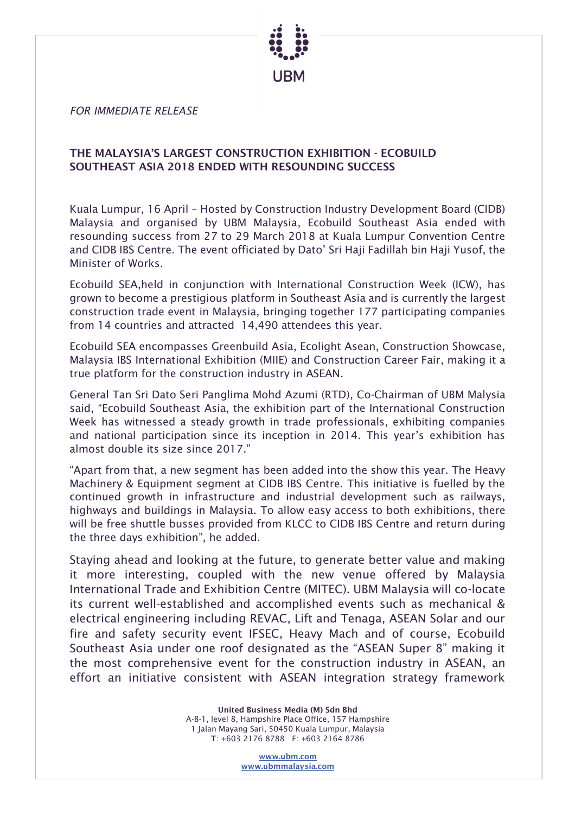

*FOR IMMEDIATE RELEASE*

## THE MALAYSIA'S LARGEST CONSTRUCTION EXHIBITION - ECOBUILD SOUTHEAST ASIA 2018 ENDED WITH RESOUNDING SUCCESS

Kuala Lumpur, 16 April – Hosted by Construction Industry Development Board (CIDB) Malaysia and organised by UBM Malaysia, Ecobuild Southeast Asia ended with resounding success from 27 to 29 March 2018 at Kuala Lumpur Convention Centre and CIDB IBS Centre. The event officiated by Dato' Sri Haji Fadillah bin Haji Yusof, the Minister of Works.

Ecobuild SEA,held in conjunction with International Construction Week (ICW), has grown to become a prestigious platform in Southeast Asia and is currently the largest construction trade event in Malaysia, bringing together 177 participating companies from 14 countries and attracted 14,490 attendees this year.

Ecobuild SEA encompasses Greenbuild Asia, Ecolight Asean, Construction Showcase, Malaysia IBS International Exhibition (MIIE) and Construction Career Fair, making it a true platform for the construction industry in ASEAN.

General Tan Sri Dato Seri Panglima Mohd Azumi (RTD), Co-Chairman of UBM Malysia said, "Ecobuild Southeast Asia, the exhibition part of the International Construction Week has witnessed a steady growth in trade professionals, exhibiting companies and national participation since its inception in 2014. This year's exhibition has almost double its size since 2017."

"Apart from that, a new segment has been added into the show this year. The Heavy Machinery & Equipment segment at CIDB IBS Centre. This initiative is fuelled by the continued growth in infrastructure and industrial development such as railways, highways and buildings in Malaysia. To allow easy access to both exhibitions, there will be free shuttle busses provided from KLCC to CIDB IBS Centre and return during the three days exhibition", he added.

Staying ahead and looking at the future, to generate better value and making it more interesting, coupled with the new venue offered by Malaysia International Trade and Exhibition Centre (MITEC). UBM Malaysia will co-locate its current well-established and accomplished events such as mechanical & electrical engineering including REVAC, Lift and Tenaga, ASEAN Solar and our fire and safety security event IFSEC, Heavy Mach and of course, Ecobuild Southeast Asia under one roof designated as the "ASEAN Super 8" making it the most comprehensive event for the construction industry in ASEAN, an effort an initiative consistent with ASEAN integration strategy framework

> United Business Media (M) Sdn Bhd A-8-1, level 8, Hampshire Place Office, 157 Hampshire 1 Jalan Mayang Sari, 50450 Kuala Lumpur, Malaysia T: +603 2176 8788 F: +603 2164 8786

> > [www.ubm.com](http://www.ubm.com/) [www.ubmmalaysia.com](http://www.ubmmalaysia.com/)